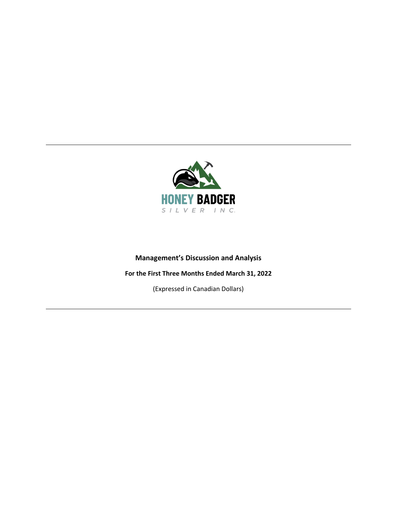

# **Management's Discussion and Analysis**

# **For the First Three Months Ended March 31, 2022**

(Expressed in Canadian Dollars)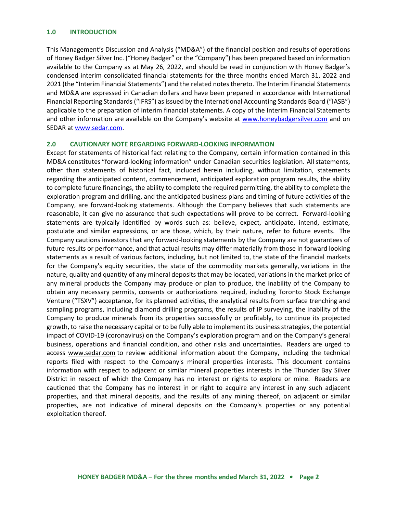#### **1.0 INTRODUCTION**

This Management's Discussion and Analysis ("MD&A") of the financial position and results of operations of Honey Badger Silver Inc. ("Honey Badger" or the "Company") has been prepared based on information available to the Company as at May 26, 2022, and should be read in conjunction with Honey Badger's condensed interim consolidated financial statements for the three months ended March 31, 2022 and 2021 (the "Interim Financial Statements") and the related notes thereto. The Interim Financial Statements and MD&A are expressed in Canadian dollars and have been prepared in accordance with International Financial Reporting Standards ("IFRS") as issued by the International Accounting Standards Board ("IASB") applicable to the preparation of interim financial statements. A copy of the Interim Financial Statements and other information are available on the Company's website at [www.honeybadgersilver.com](http://www.honeybadgersilver.com/) and on SEDAR a[t www.sedar.com.](about:blank)

### **2.0 CAUTIONARY NOTE REGARDING FORWARD-LOOKING INFORMATION**

Except for statements of historical fact relating to the Company, certain information contained in this MD&A constitutes "forward-looking information" under Canadian securities legislation. All statements, other than statements of historical fact, included herein including, without limitation, statements regarding the anticipated content, commencement, anticipated exploration program results, the ability to complete future financings, the ability to complete the required permitting, the ability to complete the exploration program and drilling, and the anticipated business plans and timing of future activities of the Company, are forward-looking statements. Although the Company believes that such statements are reasonable, it can give no assurance that such expectations will prove to be correct. Forward-looking statements are typically identified by words such as: believe, expect, anticipate, intend, estimate, postulate and similar expressions, or are those, which, by their nature, refer to future events. The Company cautions investors that any forward-looking statements by the Company are not guarantees of future results or performance, and that actual results may differ materially from those in forward looking statements as a result of various factors, including, but not limited to, the state of the financial markets for the Company's equity securities, the state of the commodity markets generally, variations in the nature, quality and quantity of any mineral deposits that may be located, variations in the market price of any mineral products the Company may produce or plan to produce, the inability of the Company to obtain any necessary permits, consents or authorizations required, including Toronto Stock Exchange Venture ("TSXV") acceptance, for its planned activities, the analytical results from surface trenching and sampling programs, including diamond drilling programs, the results of IP surveying, the inability of the Company to produce minerals from its properties successfully or profitably, to continue its projected growth, to raise the necessary capital or to be fully able to implement its business strategies, the potential impact of COVID-19 (coronavirus) on the Company's exploration program and on the Company's general business, operations and financial condition, and other risks and uncertainties. Readers are urged to access [www.sedar.com](http://www.sedar.com/) to review additional information about the Company, including the technical reports filed with respect to the Company's mineral properties interests. This document contains information with respect to adjacent or similar mineral properties interests in the Thunder Bay Silver District in respect of which the Company has no interest or rights to explore or mine. Readers are cautioned that the Company has no interest in or right to acquire any interest in any such adjacent properties, and that mineral deposits, and the results of any mining thereof, on adjacent or similar properties, are not indicative of mineral deposits on the Company's properties or any potential exploitation thereof.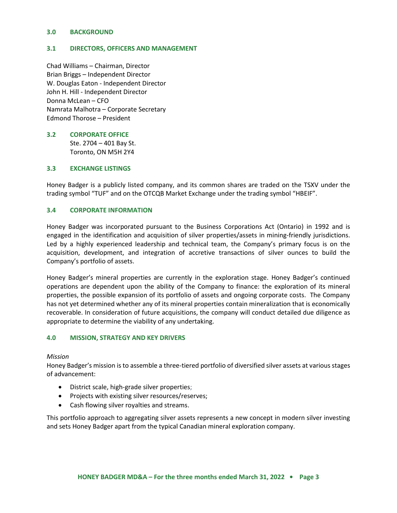#### **3.0 BACKGROUND**

#### **3.1 DIRECTORS, OFFICERS AND MANAGEMENT**

Chad Williams – Chairman, Director Brian Briggs – Independent Director W. Douglas Eaton - Independent Director John H. Hill - Independent Director Donna McLean – CFO Namrata Malhotra – Corporate Secretary Edmond Thorose – President

# **3.2 CORPORATE OFFICE** Ste. 2704 – 401 Bay St.

Toronto, ON M5H 2Y4

### **3.3 EXCHANGE LISTINGS**

Honey Badger is a publicly listed company, and its common shares are traded on the TSXV under the trading symbol "TUF" and on the OTCQB Market Exchange under the trading symbol "HBEIF".

### **3.4 CORPORATE INFORMATION**

Honey Badger was incorporated pursuant to the Business Corporations Act (Ontario) in 1992 and is engaged in the identification and acquisition of silver properties/assets in mining-friendly jurisdictions. Led by a highly experienced leadership and technical team, the Company's primary focus is on the acquisition, development, and integration of accretive transactions of silver ounces to build the Company's portfolio of assets.

Honey Badger's mineral properties are currently in the exploration stage. Honey Badger's continued operations are dependent upon the ability of the Company to finance: the exploration of its mineral properties, the possible expansion of its portfolio of assets and ongoing corporate costs. The Company has not yet determined whether any of its mineral properties contain mineralization that is economically recoverable. In consideration of future acquisitions, the company will conduct detailed due diligence as appropriate to determine the viability of any undertaking.

#### **4.0 MISSION, STRATEGY AND KEY DRIVERS**

#### *Mission*

Honey Badger's mission is to assemble a three-tiered portfolio of diversified silver assets at various stages of advancement:

- District scale, high-grade silver properties;
- Projects with existing silver resources/reserves;
- Cash flowing silver royalties and streams.

This portfolio approach to aggregating silver assets represents a new concept in modern silver investing and sets Honey Badger apart from the typical Canadian mineral exploration company.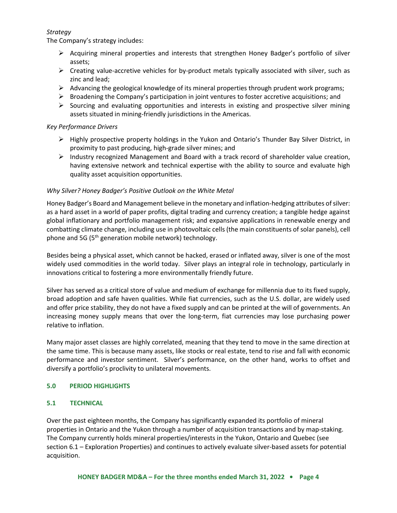# *Strategy*

The Company's strategy includes:

- ➢ Acquiring mineral properties and interests that strengthen Honey Badger's portfolio of silver assets;
- $\triangleright$  Creating value-accretive vehicles for by-product metals typically associated with silver, such as zinc and lead;
- $\triangleright$  Advancing the geological knowledge of its mineral properties through prudent work programs;
- $\triangleright$  Broadening the Company's participation in joint ventures to foster accretive acquisitions; and
- $\triangleright$  Sourcing and evaluating opportunities and interests in existing and prospective silver mining assets situated in mining-friendly jurisdictions in the Americas.

# *Key Performance Drivers*

- $\triangleright$  Highly prospective property holdings in the Yukon and Ontario's Thunder Bay Silver District, in proximity to past producing, high-grade silver mines; and
- $\triangleright$  Industry recognized Management and Board with a track record of shareholder value creation, having extensive network and technical expertise with the ability to source and evaluate high quality asset acquisition opportunities.

# *Why Silver? Honey Badger's Positive Outlook on the White Metal*

Honey Badger's Board and Management believe in the monetary and inflation-hedging attributes of silver: as a hard asset in a world of paper profits, digital trading and currency creation; a tangible hedge against global inflationary and portfolio management risk; and expansive applications in renewable energy and combatting climate change, including use in photovoltaic cells (the main constituents of solar panels), cell phone and 5G (5<sup>th</sup> generation mobile network) technology.

Besides being a physical asset, which cannot be hacked, erased or inflated away, silver is one of the most widely used commodities in the world today.Silver plays an integral role in technology, particularly in innovations critical to fostering a more environmentally friendly future.

Silver has served as a critical store of value and medium of exchange for millennia due to its fixed supply, broad adoption and safe haven qualities. While fiat currencies, such as the U.S. dollar, are widely used and offer price stability, they do not have a fixed supply and can be printed at the will of governments. An increasing money supply means that over the long-term, fiat currencies may lose purchasing power relative to inflation.

Many major asset classes are highly correlated, meaning that they tend to move in the same direction at the same time. This is because many assets, like stocks or real estate, tend to rise and fall with economic performance and investor sentiment. Silver's performance, on the other hand, works to offset and diversify a portfolio's proclivity to unilateral movements.

# **5.0 PERIOD HIGHLIGHTS**

# **5.1 TECHNICAL**

Over the past eighteen months, the Company has significantly expanded its portfolio of mineral properties in Ontario and the Yukon through a number of acquisition transactions and by map-staking. The Company currently holds mineral properties/interests in the Yukon, Ontario and Quebec (see section 6.1 – Exploration Properties) and continues to actively evaluate silver-based assets for potential acquisition.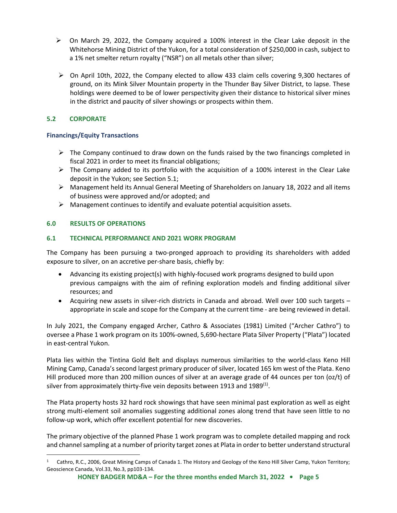- $\triangleright$  On March 29, 2022, the Company acquired a 100% interest in the Clear Lake deposit in the Whitehorse Mining District of the Yukon, for a total consideration of \$250,000 in cash, subject to a 1% net smelter return royalty ("NSR") on all metals other than silver;
- $\triangleright$  On April 10th, 2022, the Company elected to allow 433 claim cells covering 9,300 hectares of ground, on its Mink Silver Mountain property in the Thunder Bay Silver District, to lapse. These holdings were deemed to be of lower perspectivity given their distance to historical silver mines in the district and paucity of silver showings or prospects within them.

# **5.2 CORPORATE**

# **Financings/Equity Transactions**

- $\triangleright$  The Company continued to draw down on the funds raised by the two financings completed in fiscal 2021 in order to meet its financial obligations;
- $\triangleright$  The Company added to its portfolio with the acquisition of a 100% interest in the Clear Lake deposit in the Yukon; see Section 5.1;
- $\triangleright$  Management held its Annual General Meeting of Shareholders on January 18, 2022 and all items of business were approved and/or adopted; and
- $\triangleright$  Management continues to identify and evaluate potential acquisition assets.

# **6.0 RESULTS OF OPERATIONS**

# **6.1 TECHNICAL PERFORMANCE AND 2021 WORK PROGRAM**

The Company has been pursuing a two-pronged approach to providing its shareholders with added exposure to silver, on an accretive per-share basis, chiefly by:

- Advancing its existing project(s) with highly-focused work programs designed to build upon previous campaigns with the aim of refining exploration models and finding additional silver resources; and
- Acquiring new assets in silver-rich districts in Canada and abroad. Well over 100 such targets appropriate in scale and scope for the Company at the current time - are being reviewed in detail.

In July 2021, the Company engaged Archer, Cathro & Associates (1981) Limited ("Archer Cathro") to oversee a Phase 1 work program on its 100%-owned, 5,690-hectare Plata Silver Property ("Plata") located in east-central Yukon.

Plata lies within the Tintina Gold Belt and displays numerous similarities to the world-class Keno Hill Mining Camp, Canada's second largest primary producer of silver, located 165 km west of the Plata. Keno Hill produced more than 200 million ounces of silver at an average grade of 44 ounces per ton (oz/t) of silver from approximately thirty-five vein deposits between 1913 and 1989<sup>(1)</sup>.

The Plata property hosts 32 hard rock showings that have seen minimal past exploration as well as eight strong multi-element soil anomalies suggesting additional zones along trend that have seen little to no follow-up work, which offer excellent potential for new discoveries.

The primary objective of the planned Phase 1 work program was to complete detailed mapping and rock and channel sampling at a number of priority target zones at Plata in order to better understand structural

<sup>1</sup> Cathro, R.C., 2006, Great Mining Camps of Canada 1. The History and Geology of the Keno Hill Silver Camp, Yukon Territory; Geoscience Canada, Vol.33, No.3, pp103-134.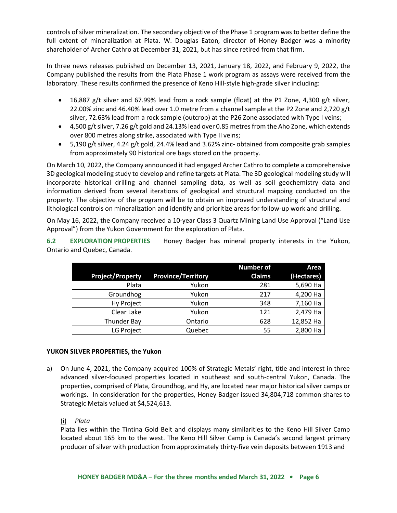controls of silver mineralization. The secondary objective of the Phase 1 program was to better define the full extent of mineralization at Plata. W. Douglas Eaton, director of Honey Badger was a minority shareholder of Archer Cathro at December 31, 2021, but has since retired from that firm.

In three news releases published on December 13, 2021, January 18, 2022, and February 9, 2022, the Company published the results from the Plata Phase 1 work program as assays were received from the laboratory. These results confirmed the presence of Keno Hill-style high-grade silver including:

- 16,887 g/t silver and 67.99% lead from a rock sample (float) at the P1 Zone, 4,300 g/t silver, 22.00% zinc and 46.40% lead over 1.0 metre from a channel sample at the P2 Zone and 2,720 g/t silver, 72.63% lead from a rock sample (outcrop) at the P26 Zone associated with Type I veins;
- $\bullet$  4,500 g/t silver, 7.26 g/t gold and 24.13% lead over 0.85 metres from the Aho Zone, which extends over 800 metres along strike, associated with Type II veins;
- 5,190 g/t silver, 4.24 g/t gold, 24.4% lead and 3.62% zinc- obtained from composite grab samples from approximately 90 historical ore bags stored on the property.

On March 10, 2022, the Company announced it had engaged Archer Cathro to complete a comprehensive 3D geological modeling study to develop and refine targets at Plata. The 3D geological modeling study will incorporate historical drilling and channel sampling data, as well as soil geochemistry data and information derived from several iterations of geological and structural mapping conducted on the property. The objective of the program will be to obtain an improved understanding of structural and lithological controls on mineralization and identify and prioritize areas for follow-up work and drilling.

On May 16, 2022, the Company received a 10-year Class 3 Quartz Mining Land Use Approval ("Land Use Approval") from the Yukon Government for the exploration of Plata.

**6.2 EXPLORATION PROPERTIES** Honey Badger has mineral property interests in the Yukon, Ontario and Quebec, Canada.

|                         |                           | <b>Number of</b> | Area       |
|-------------------------|---------------------------|------------------|------------|
| <b>Project/Property</b> | <b>Province/Territory</b> | <b>Claims</b>    | (Hectares) |
| Plata                   | Yukon                     | 281              | 5,690 Ha   |
| Groundhog               | Yukon                     | 217              | 4,200 Ha   |
| Hy Project              | Yukon                     | 348              | 7,160 Ha   |
| Clear Lake              | Yukon                     | 121              | 2,479 Ha   |
| <b>Thunder Bay</b>      | Ontario                   | 628              | 12,852 Ha  |
| LG Project              | Quebec                    | 55               | 2,800 Ha   |

# **YUKON SILVER PROPERTIES, the Yukon**

a) On June 4, 2021, the Company acquired 100% of Strategic Metals' right, title and interest in three advanced silver-focused properties located in southeast and south-central Yukon, Canada. The properties, comprised of Plata, Groundhog, and Hy, are located near major historical silver camps or workings. In consideration for the properties, Honey Badger issued 34,804,718 common shares to Strategic Metals valued at \$4,524,613.

# (i) *Plata*

Plata lies within the Tintina Gold Belt and displays many similarities to the Keno Hill Silver Camp located about 165 km to the west. The Keno Hill Silver Camp is Canada's second largest primary producer of silver with production from approximately thirty-five vein deposits between 1913 and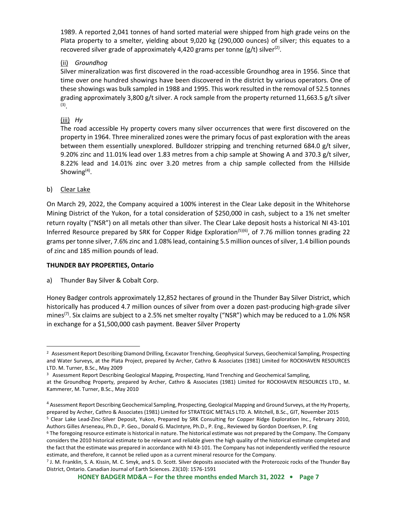1989. A reported 2,041 tonnes of hand sorted material were shipped from high grade veins on the Plata property to a smelter, yielding about 9,020 kg (290,000 ounces) of silver; this equates to a recovered silver grade of approximately 4,420 grams per tonne (g/t) silver<sup>(2)</sup>.

# (ii) *Groundhog*

Silver mineralization was first discovered in the road-accessible Groundhog area in 1956. Since that time over one hundred showings have been discovered in the district by various operators. One of these showings was bulk sampled in 1988 and 1995. This work resulted in the removal of 52.5 tonnes grading approximately 3,800 g/t silver. A rock sample from the property returned 11,663.5 g/t silver (3) .

(iii) *Hy*

The road accessible Hy property covers many silver occurrences that were first discovered on the property in 1964. Three mineralized zones were the primary focus of past exploration with the areas between them essentially unexplored. Bulldozer stripping and trenching returned 684.0 g/t silver, 9.20% zinc and 11.01% lead over 1.83 metres from a chip sample at Showing A and 370.3 g/t silver, 8.22% lead and 14.01% zinc over 3.20 metres from a chip sample collected from the Hillside Showing $^{(4)}$ .

### b) Clear Lake

On March 29, 2022, the Company acquired a 100% interest in the Clear Lake deposit in the Whitehorse Mining District of the Yukon, for a total consideration of \$250,000 in cash, subject to a 1% net smelter return royalty ("NSR") on all metals other than silver. The Clear Lake deposit hosts a historical NI 43-101 Inferred Resource prepared by SRK for Copper Ridge Exploration<sup>(5)(6)</sup>, of 7.76 million tonnes grading 22 grams per tonne silver, 7.6% zinc and 1.08% lead, containing 5.5 million ounces of silver, 1.4 billion pounds of zinc and 185 million pounds of lead.

# **THUNDER BAY PROPERTIES, Ontario**

a) Thunder Bay Silver & Cobalt Corp.

Honey Badger controls approximately 12,852 hectares of ground in the Thunder Bay Silver District, which historically has produced 4.7 million ounces of silver from over a dozen past-producing high-grade silver mines<sup>(7)</sup>. Six claims are subject to a 2.5% net smelter royalty ("NSR") which may be reduced to a 1.0% NSR in exchange for a \$1,500,000 cash payment. Beaver Silver Property

<sup>&</sup>lt;sup>2</sup> Assessment Report Describing Diamond Drilling, Excavator Trenching, Geophysical Surveys, Geochemical Sampling, Prospecting and Water Surveys, at the Plata Project, prepared by Archer, Cathro & Associates (1981) Limited for ROCKHAVEN RESOURCES LTD. M. Turner, B.Sc., May 2009

<sup>&</sup>lt;sup>3</sup> Assessment Report Describing Geological Mapping, Prospecting, Hand Trenching and Geochemical Sampling,

at the Groundhog Property, prepared by Archer, Cathro & Associates (1981) Limited for ROCKHAVEN RESOURCES LTD., M. Kammerer, M. Turner, B.Sc., May 2010

<sup>4</sup> Assessment Report Describing Geochemical Sampling, Prospecting, Geological Mapping and Ground Surveys, at the Hy Property, prepared by Archer, Cathro & Associates (1981) Limited for STRATEGIC METALS LTD. A. Mitchell, B.Sc., GIT, November 2015

<sup>5</sup> Clear Lake Lead-Zinc-Silver Deposit, Yukon, Prepared by SRK Consulting for Copper Ridge Exploration Inc., February 2010, Authors Gilles Arseneau, Ph.D., P. Geo., Donald G. MacIntyre, Ph.D., P. Eng., Reviewed by Gordon Doerksen, P. Eng

<sup>6</sup> The foregoing resource estimate is historical in nature. The historical estimate was not prepared by the Company. The Company considers the 2010 historical estimate to be relevant and reliable given the high quality of the historical estimate completed and the fact that the estimate was prepared in accordance with NI 43-101. The Company has not independently verified the resource estimate, and therefore, it cannot be relied upon as a current mineral resource for the Company.

<sup>7</sup> J. M. Franklin, S. A. Kissin, M. C. Smyk, and S. D. Scott. Silver deposits associated with the Proterozoic rocks of the Thunder Bay District, Ontario. Canadian Journal of Earth Sciences. 23(10): 1576-1591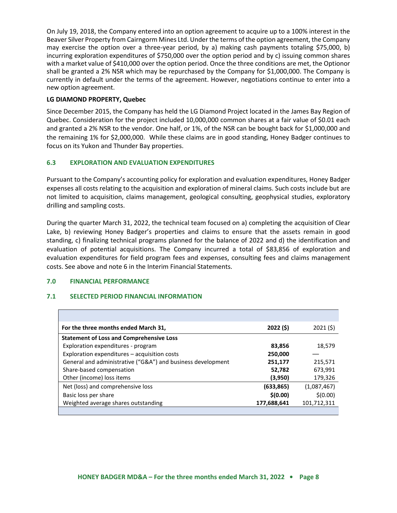On July 19, 2018, the Company entered into an option agreement to acquire up to a 100% interest in the Beaver Silver Property from Cairngorm Mines Ltd. Under the terms of the option agreement, the Company may exercise the option over a three-year period, by a) making cash payments totaling \$75,000, b) incurring exploration expenditures of \$750,000 over the option period and by c) issuing common shares with a market value of \$410,000 over the option period. Once the three conditions are met, the Optionor shall be granted a 2% NSR which may be repurchased by the Company for \$1,000,000. The Company is currently in default under the terms of the agreement. However, negotiations continue to enter into a new option agreement.

# **LG DIAMOND PROPERTY, Quebec**

Since December 2015, the Company has held the LG Diamond Project located in the James Bay Region of Quebec. Consideration for the project included 10,000,000 common shares at a fair value of \$0.01 each and granted a 2% NSR to the vendor. One half, or 1%, of the NSR can be bought back for \$1,000,000 and the remaining 1% for \$2,000,000. While these claims are in good standing, Honey Badger continues to focus on its Yukon and Thunder Bay properties.

# **6.3 EXPLORATION AND EVALUATION EXPENDITURES**

Pursuant to the Company's accounting policy for exploration and evaluation expenditures, Honey Badger expenses all costs relating to the acquisition and exploration of mineral claims. Such costs include but are not limited to acquisition, claims management, geological consulting, geophysical studies, exploratory drilling and sampling costs.

During the quarter March 31, 2022, the technical team focused on a) completing the acquisition of Clear Lake, b) reviewing Honey Badger's properties and claims to ensure that the assets remain in good standing, c) finalizing technical programs planned for the balance of 2022 and d) the identification and evaluation of potential acquisitions. The Company incurred a total of \$83,856 of exploration and evaluation expenditures for field program fees and expenses, consulting fees and claims management costs. See above and note 6 in the Interim Financial Statements.

# **7.0 FINANCIAL PERFORMANCE**

# **7.1 SELECTED PERIOD FINANCIAL INFORMATION**

| For the three months ended March 31,                        | 2022 (\$)   | 2021(5)     |
|-------------------------------------------------------------|-------------|-------------|
| <b>Statement of Loss and Comprehensive Loss</b>             |             |             |
| Exploration expenditures - program                          | 83,856      | 18,579      |
| Exploration expenditures - acquisition costs                | 250,000     |             |
| General and administrative ("G&A") and business development | 251,177     | 215,571     |
| Share-based compensation                                    | 52,782      | 673,991     |
| Other (income) loss items                                   | (3,950)     | 179,326     |
| Net (loss) and comprehensive loss                           | (633, 865)  | (1,087,467) |
| Basic loss per share                                        | \$(0.00)    | \$(0.00)    |
| Weighted average shares outstanding                         | 177,688,641 | 101,712,311 |
|                                                             |             |             |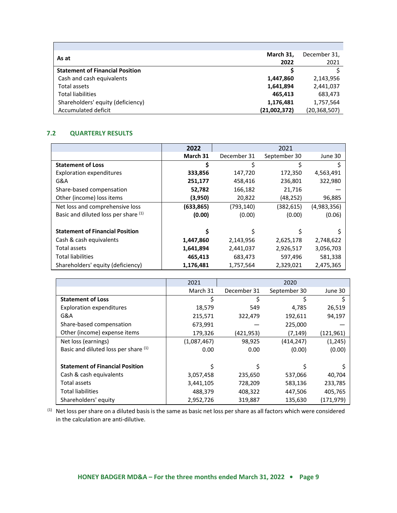| As at                                  | March 31,    | December 31,   |
|----------------------------------------|--------------|----------------|
|                                        | 2022         | 2021           |
| <b>Statement of Financial Position</b> |              |                |
| Cash and cash equivalents              | 1,447,860    | 2,143,956      |
| Total assets                           | 1,641,894    | 2,441,037      |
| <b>Total liabilities</b>               | 465.413      | 683,473        |
| Shareholders' equity (deficiency)      | 1,176,481    | 1,757,564      |
| Accumulated deficit                    | (21,002,372) | (20, 368, 507) |

# **7.2 QUARTERLY RESULTS**

r

|                                        | 2022      |             | 2021         |             |
|----------------------------------------|-----------|-------------|--------------|-------------|
|                                        | March 31  | December 31 | September 30 | June 30     |
| <b>Statement of Loss</b>               | Ś         | Ś           |              |             |
| <b>Exploration expenditures</b>        | 333,856   | 147,720     | 172,350      | 4,563,491   |
| G&A                                    | 251,177   | 458,416     | 236,801      | 322,980     |
| Share-based compensation               | 52,782    | 166,182     | 21,716       |             |
| Other (income) loss items              | (3,950)   | 20,822      | (48,252)     | 96,885      |
| Net loss and comprehensive loss        | (633,865) | (793, 140)  | (382, 615)   | (4,983,356) |
| Basic and diluted loss per share (1)   | (0.00)    | (0.00)      | (0.00)       | (0.06)      |
| <b>Statement of Financial Position</b> | S         |             | Ś            |             |
| Cash & cash equivalents                | 1,447,860 | 2,143,956   | 2,625,178    | 2,748,622   |
| Total assets                           | 1,641,894 | 2,441,037   | 2,926,517    | 3,056,703   |
| <b>Total liabilities</b>               | 465,413   | 683,473     | 597,496      | 581,338     |
| Shareholders' equity (deficiency)      | 1,176,481 | 1,757,564   | 2,329,021    | 2,475,365   |

|                                        | 2021        |             | 2020         |            |
|----------------------------------------|-------------|-------------|--------------|------------|
|                                        | March 31    | December 31 | September 30 | June 30    |
| <b>Statement of Loss</b>               | Ś           |             |              |            |
| <b>Exploration expenditures</b>        | 18,579      | 549         | 4,785        | 26,519     |
| G&A                                    | 215,571     | 322,479     | 192,611      | 94,197     |
| Share-based compensation               | 673,991     |             | 225,000      |            |
| Other (income) expense items           | 179,326     | (421,953)   | (7, 149)     | (121, 961) |
| Net loss (earnings)                    | (1,087,467) | 98,925      | (414,247)    | (1, 245)   |
| Basic and diluted loss per share (1)   | 0.00        | 0.00        | (0.00)       | (0.00)     |
|                                        |             |             |              |            |
| <b>Statement of Financial Position</b> |             |             |              |            |
| Cash & cash equivalents                | 3,057,458   | 235,650     | 537,066      | 40,704     |
| Total assets                           | 3,441,105   | 728,209     | 583,136      | 233,785    |
| <b>Total liabilities</b>               | 488,379     | 408,322     | 447,506      | 405,765    |
| Shareholders' equity                   | 2,952,726   | 319,887     | 135,630      | (171,979)  |

 $(1)$  Net loss per share on a diluted basis is the same as basic net loss per share as all factors which were considered in the calculation are anti-dilutive.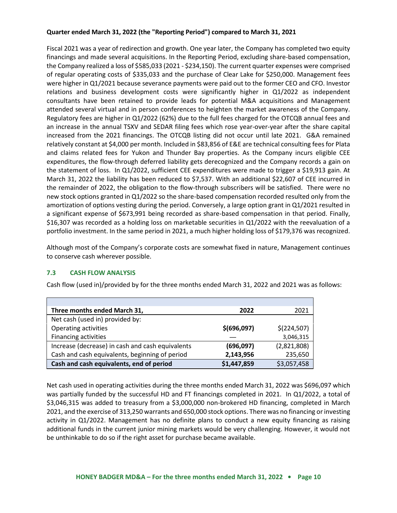# **Quarter ended March 31, 2022 (the "Reporting Period") compared to March 31, 2021**

Fiscal 2021 was a year of redirection and growth. One year later, the Company has completed two equity financings and made several acquisitions. In the Reporting Period, excluding share-based compensation, the Company realized a loss of \$585,033 (2021 - \$234,150). The current quarter expenses were comprised of regular operating costs of \$335,033 and the purchase of Clear Lake for \$250,000. Management fees were higher in Q1/2021 because severance payments were paid out to the former CEO and CFO. Investor relations and business development costs were significantly higher in Q1/2022 as independent consultants have been retained to provide leads for potential M&A acquisitions and Management attended several virtual and in person conferences to heighten the market awareness of the Company. Regulatory fees are higher in Q1/2022 (62%) due to the full fees charged for the OTCQB annual fees and an increase in the annual TSXV and SEDAR filing fees which rose year-over-year after the share capital increased from the 2021 financings. The OTCQB listing did not occur until late 2021. G&A remained relatively constant at \$4,000 per month. Included in \$83,856 of E&E are technical consulting fees for Plata and claims related fees for Yukon and Thunder Bay properties. As the Company incurs eligible CEE expenditures, the flow-through deferred liability gets derecognized and the Company records a gain on the statement of loss. In Q1/2022, sufficient CEE expenditures were made to trigger a \$19,913 gain. At March 31, 2022 the liability has been reduced to \$7,537. With an additional \$22,607 of CEE incurred in the remainder of 2022, the obligation to the flow-through subscribers will be satisfied. There were no new stock options granted in Q1/2022 so the share-based compensation recorded resulted only from the amortization of options vesting during the period. Conversely, a large option grant in Q1/2021 resulted in a significant expense of \$673,991 being recorded as share-based compensation in that period. Finally, \$16,307 was recorded as a holding loss on marketable securities in Q1/2022 with the reevaluation of a portfolio investment. In the same period in 2021, a much higher holding loss of \$179,376 was recognized.

Although most of the Company's corporate costs are somewhat fixed in nature, Management continues to conserve cash wherever possible.

# **7.3 CASH FLOW ANALYSIS**

Cash flow (used in)/provided by for the three months ended March 31, 2022 and 2021 was as follows:

| Three months ended March 31,                     | 2022        | 2021        |
|--------------------------------------------------|-------------|-------------|
| Net cash (used in) provided by:                  |             |             |
| Operating activities                             | \$(696,097) | \$(224,507) |
| <b>Financing activities</b>                      |             | 3,046,315   |
| Increase (decrease) in cash and cash equivalents | (696,097)   | (2,821,808) |
| Cash and cash equivalents, beginning of period   | 2,143,956   | 235,650     |
| Cash and cash equivalents, end of period         | \$1,447,859 | \$3,057,458 |

Net cash used in operating activities during the three months ended March 31, 2022 was \$696,097 which was partially funded by the successful HD and FT financings completed in 2021. In Q1/2022, a total of \$3,046,315 was added to treasury from a \$3,000,000 non-brokered HD financing, completed in March 2021, and the exercise of 313,250 warrants and 650,000 stock options. There was no financing or investing activity in Q1/2022. Management has no definite plans to conduct a new equity financing as raising additional funds in the current junior mining markets would be very challenging. However, it would not be unthinkable to do so if the right asset for purchase became available.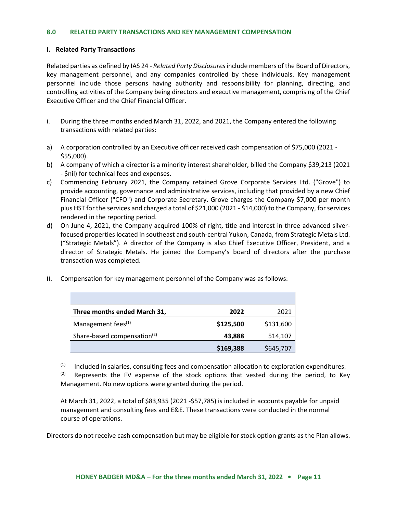#### **8.0 RELATED PARTY TRANSACTIONS AND KEY MANAGEMENT COMPENSATION**

#### **i. Related Party Transactions**

Related parties as defined by IAS 24 - *Related Party Disclosures*include members of the Board of Directors, key management personnel, and any companies controlled by these individuals. Key management personnel include those persons having authority and responsibility for planning, directing, and controlling activities of the Company being directors and executive management, comprising of the Chief Executive Officer and the Chief Financial Officer.

- i. During the three months ended March 31, 2022, and 2021, the Company entered the following transactions with related parties:
- a) A corporation controlled by an Executive officer received cash compensation of \$75,000 (2021 -\$55,000).
- b) A company of which a director is a minority interest shareholder, billed the Company \$39,213 (2021 - \$nil) for technical fees and expenses.
- c) Commencing February 2021, the Company retained Grove Corporate Services Ltd. ("Grove") to provide accounting, governance and administrative services, including that provided by a new Chief Financial Officer ("CFO") and Corporate Secretary. Grove charges the Company \$7,000 per month plus HST for the services and charged a total of \$21,000 (2021 - \$14,000) to the Company, for services rendered in the reporting period.
- d) On June 4, 2021, the Company acquired 100% of right, title and interest in three advanced silverfocused properties located in southeast and south-central Yukon, Canada, from Strategic Metals Ltd. ("Strategic Metals"). A director of the Company is also Chief Executive Officer, President, and a director of Strategic Metals. He joined the Company's board of directors after the purchase transaction was completed.
- ii. Compensation for key management personnel of the Company was as follows:

| Three months ended March 31,            | 2022      | 2021      |
|-----------------------------------------|-----------|-----------|
| Management fees <sup>(1)</sup>          | \$125,500 | \$131,600 |
| Share-based compensation <sup>(2)</sup> | 43,888    | 514,107   |
|                                         | \$169,388 | \$645,707 |

 $(1)$  Included in salaries, consulting fees and compensation allocation to exploration expenditures.

 $(2)$  Represents the FV expense of the stock options that vested during the period, to Key Management. No new options were granted during the period.

At March 31, 2022, a total of \$83,935 (2021 -\$57,785) is included in accounts payable for unpaid management and consulting fees and E&E. These transactions were conducted in the normal course of operations.

Directors do not receive cash compensation but may be eligible for stock option grants as the Plan allows.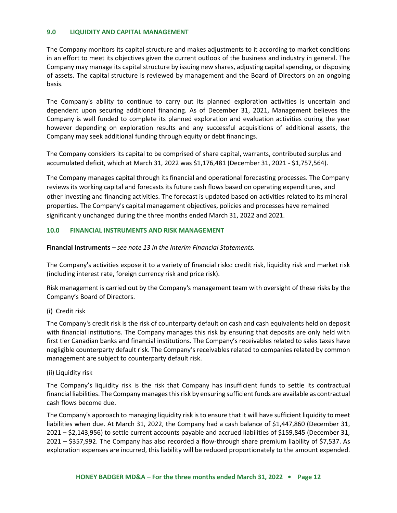#### **9.0 LIQUIDITY AND CAPITAL MANAGEMENT**

The Company monitors its capital structure and makes adjustments to it according to market conditions in an effort to meet its objectives given the current outlook of the business and industry in general. The Company may manage its capital structure by issuing new shares, adjusting capital spending, or disposing of assets. The capital structure is reviewed by management and the Board of Directors on an ongoing basis.

The Company's ability to continue to carry out its planned exploration activities is uncertain and dependent upon securing additional financing. As of December 31, 2021, Management believes the Company is well funded to complete its planned exploration and evaluation activities during the year however depending on exploration results and any successful acquisitions of additional assets, the Company may seek additional funding through equity or debt financings.

The Company considers its capital to be comprised of share capital, warrants, contributed surplus and accumulated deficit, which at March 31, 2022 was \$1,176,481 (December 31, 2021 - \$1,757,564).

The Company manages capital through its financial and operational forecasting processes. The Company reviews its working capital and forecasts its future cash flows based on operating expenditures, and other investing and financing activities. The forecast is updated based on activities related to its mineral properties. The Company's capital management objectives, policies and processes have remained significantly unchanged during the three months ended March 31, 2022 and 2021.

# **10.0 FINANCIAL INSTRUMENTS AND RISK MANAGEMENT**

**Financial Instruments** – *see note 13 in the Interim Financial Statements.* 

The Company's activities expose it to a variety of financial risks: credit risk, liquidity risk and market risk (including interest rate, foreign currency risk and price risk).

Risk management is carried out by the Company's management team with oversight of these risks by the Company's Board of Directors.

# (i) Credit risk

The Company's credit risk is the risk of counterparty default on cash and cash equivalents held on deposit with financial institutions. The Company manages this risk by ensuring that deposits are only held with first tier Canadian banks and financial institutions. The Company's receivables related to sales taxes have negligible counterparty default risk. The Company's receivables related to companies related by common management are subject to counterparty default risk.

# (ii) Liquidity risk

The Company's liquidity risk is the risk that Company has insufficient funds to settle its contractual financial liabilities. The Company manages this risk by ensuring sufficient funds are available as contractual cash flows become due.

The Company's approach to managing liquidity risk is to ensure that it will have sufficient liquidity to meet liabilities when due. At March 31, 2022, the Company had a cash balance of \$1,447,860 (December 31, 2021 – \$2,143,956) to settle current accounts payable and accrued liabilities of \$159,845 (December 31, 2021 – \$357,992. The Company has also recorded a flow-through share premium liability of \$7,537. As exploration expenses are incurred, this liability will be reduced proportionately to the amount expended.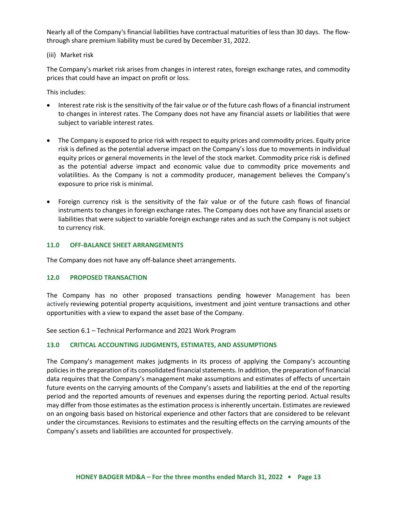Nearly all of the Company's financial liabilities have contractual maturities of less than 30 days. The flowthrough share premium liability must be cured by December 31, 2022.

(iii) Market risk

The Company's market risk arises from changes in interest rates, foreign exchange rates, and commodity prices that could have an impact on profit or loss.

This includes:

- Interest rate risk is the sensitivity of the fair value or of the future cash flows of a financial instrument to changes in interest rates. The Company does not have any financial assets or liabilities that were subject to variable interest rates.
- The Company is exposed to price risk with respect to equity prices and commodity prices. Equity price risk is defined as the potential adverse impact on the Company's loss due to movements in individual equity prices or general movements in the level of the stock market. Commodity price risk is defined as the potential adverse impact and economic value due to commodity price movements and volatilities. As the Company is not a commodity producer, management believes the Company's exposure to price risk is minimal.
- Foreign currency risk is the sensitivity of the fair value or of the future cash flows of financial instruments to changes in foreign exchange rates. The Company does not have any financial assets or liabilities that were subject to variable foreign exchange rates and as such the Company is not subject to currency risk.

### **11.0 OFF-BALANCE SHEET ARRANGEMENTS**

The Company does not have any off-balance sheet arrangements.

#### **12.0 PROPOSED TRANSACTION**

The Company has no other proposed transactions pending however Management has been actively reviewing potential property acquisitions, investment and joint venture transactions and other opportunities with a view to expand the asset base of the Company.

See section 6.1 – Technical Performance and 2021 Work Program

# **13.0 CRITICAL ACCOUNTING JUDGMENTS, ESTIMATES, AND ASSUMPTIONS**

The Company's management makes judgments in its process of applying the Company's accounting policies in the preparation of its consolidated financial statements. In addition, the preparation of financial data requires that the Company's management make assumptions and estimates of effects of uncertain future events on the carrying amounts of the Company's assets and liabilities at the end of the reporting period and the reported amounts of revenues and expenses during the reporting period. Actual results may differ from those estimates as the estimation process is inherently uncertain. Estimates are reviewed on an ongoing basis based on historical experience and other factors that are considered to be relevant under the circumstances. Revisions to estimates and the resulting effects on the carrying amounts of the Company's assets and liabilities are accounted for prospectively.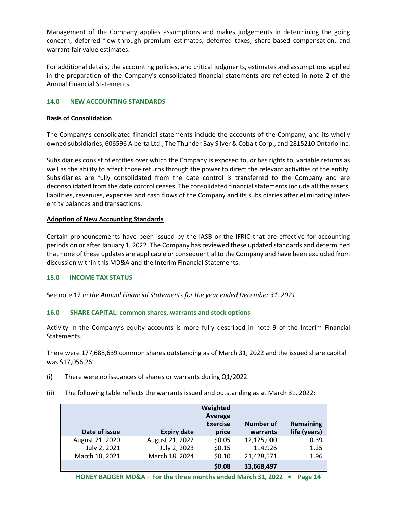Management of the Company applies assumptions and makes judgements in determining the going concern, deferred flow-through premium estimates, deferred taxes, share-based compensation, and warrant fair value estimates.

For additional details, the accounting policies, and critical judgments, estimates and assumptions applied in the preparation of the Company's consolidated financial statements are reflected in note 2 of the Annual Financial Statements.

# **14.0 NEW ACCOUNTING STANDARDS**

### **Basis of Consolidation**

The Company's consolidated financial statements include the accounts of the Company, and its wholly owned subsidiaries, 606596 Alberta Ltd., The Thunder Bay Silver & Cobalt Corp., and 2815210 Ontario Inc.

Subsidiaries consist of entities over which the Company is exposed to, or has rights to, variable returns as well as the ability to affect those returns through the power to direct the relevant activities of the entity. Subsidiaries are fully consolidated from the date control is transferred to the Company and are deconsolidated from the date control ceases. The consolidated financial statements include all the assets, liabilities, revenues, expenses and cash flows of the Company and its subsidiaries after eliminating interentity balances and transactions.

# **Adoption of New Accounting Standards**

Certain pronouncements have been issued by the IASB or the IFRIC that are effective for accounting periods on or after January 1, 2022. The Company has reviewed these updated standards and determined that none of these updates are applicable or consequential to the Company and have been excluded from discussion within this MD&A and the Interim Financial Statements.

# **15.0 INCOME TAX STATUS**

See note 12 *in the Annual Financial Statements for the year ended December 31, 2021.*

# **16.0 SHARE CAPITAL: common shares, warrants and stock options**

Activity in the Company's equity accounts is more fully described in note 9 of the Interim Financial Statements.

There were 177,688,639 common shares outstanding as of March 31, 2022 and the issued share capital was \$17,056,261.

- $(i)$  There were no issuances of shares or warrants during Q1/2022.
- (ii) The following table reflects the warrants issued and outstanding as at March 31, 2022:

| Date of issue   | <b>Expiry date</b> | Weighted<br>Average<br><b>Exercise</b><br>price | Number of<br>warrants | Remaining<br>life (years) |
|-----------------|--------------------|-------------------------------------------------|-----------------------|---------------------------|
| August 21, 2020 | August 21, 2022    | \$0.05                                          | 12,125,000            | 0.39                      |
| July 2, 2021    | July 2, 2023       | \$0.15                                          | 114,926               | 1.25                      |
| March 18, 2021  | March 18, 2024     | \$0.10                                          | 21,428,571            | 1.96                      |
|                 |                    | \$0.08                                          | 33,668,497            |                           |

**HONEY BADGER MD&A – For the three months ended March 31, 2022 • Page 14**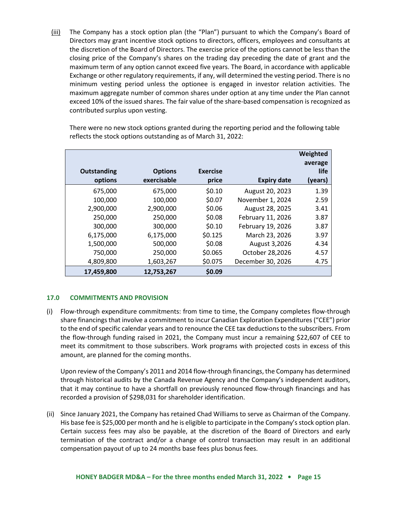(iii) The Company has a stock option plan (the "Plan") pursuant to which the Company's Board of Directors may grant incentive stock options to directors, officers, employees and consultants at the discretion of the Board of Directors. The exercise price of the options cannot be less than the closing price of the Company's shares on the trading day preceding the date of grant and the maximum term of any option cannot exceed five years. The Board, in accordance with applicable Exchange or other regulatory requirements, if any, will determined the vesting period. There is no minimum vesting period unless the optionee is engaged in investor relation activities. The maximum aggregate number of common shares under option at any time under the Plan cannot exceed 10% of the issued shares. The fair value of the share-based compensation is recognized as contributed surplus upon vesting.

There were no new stock options granted during the reporting period and the following table reflects the stock options outstanding as of March 31, 2022:

| <b>Outstanding</b><br>options | <b>Options</b><br>exercisable | <b>Exercise</b><br>price | <b>Expiry date</b> | Weighted<br>average<br>life<br>(years) |
|-------------------------------|-------------------------------|--------------------------|--------------------|----------------------------------------|
| 675,000                       | 675,000                       | \$0.10                   | August 20, 2023    | 1.39                                   |
| 100,000                       | 100,000                       | \$0.07                   | November 1, 2024   | 2.59                                   |
| 2,900,000                     | 2,900,000                     | \$0.06                   | August 28, 2025    | 3.41                                   |
| 250,000                       | 250,000                       | \$0.08                   | February 11, 2026  | 3.87                                   |
| 300,000                       | 300,000                       | \$0.10                   | February 19, 2026  | 3.87                                   |
| 6,175,000                     | 6,175,000                     | \$0.125                  | March 23, 2026     | 3.97                                   |
| 1,500,000                     | 500,000                       | \$0.08                   | August 3,2026      | 4.34                                   |
| 750,000                       | 250,000                       | \$0.065                  | October 28,2026    | 4.57                                   |
| 4,809,800                     | 1,603,267                     | \$0.075                  | December 30, 2026  | 4.75                                   |
| 17,459,800                    | 12,753,267                    | \$0.09                   |                    |                                        |

# **17.0 COMMITMENTS AND PROVISION**

(i) Flow-through expenditure commitments: from time to time, the Company completes flow-through share financings that involve a commitment to incur Canadian Exploration Expenditures ("CEE") prior to the end of specific calendar years and to renounce the CEE tax deductions to the subscribers. From the flow-through funding raised in 2021, the Company must incur a remaining \$22,607 of CEE to meet its commitment to those subscribers. Work programs with projected costs in excess of this amount, are planned for the coming months.

Upon review of the Company's 2011 and 2014 flow-through financings, the Company has determined through historical audits by the Canada Revenue Agency and the Company's independent auditors, that it may continue to have a shortfall on previously renounced flow-through financings and has recorded a provision of \$298,031 for shareholder identification.

(ii) Since January 2021, the Company has retained Chad Williams to serve as Chairman of the Company. His base fee is \$25,000 per month and he is eligible to participate in the Company's stock option plan. Certain success fees may also be payable, at the discretion of the Board of Directors and early termination of the contract and/or a change of control transaction may result in an additional compensation payout of up to 24 months base fees plus bonus fees.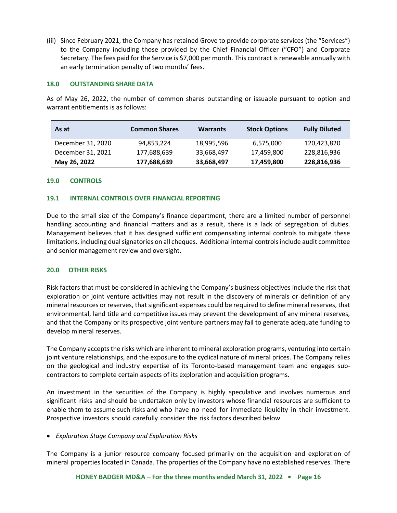(iii) Since February 2021, the Company has retained Grove to provide corporate services (the "Services") to the Company including those provided by the Chief Financial Officer ("CFO") and Corporate Secretary. The fees paid for the Service is \$7,000 per month. This contract is renewable annually with an early termination penalty of two months' fees.

#### **18.0 OUTSTANDING SHARE DATA**

As of May 26, 2022, the number of common shares outstanding or issuable pursuant to option and warrant entitlements is as follows:

| As at             | <b>Common Shares</b> | <b>Warrants</b> | <b>Stock Options</b> | <b>Fully Diluted</b> |
|-------------------|----------------------|-----------------|----------------------|----------------------|
| December 31, 2020 | 94,853,224           | 18,995,596      | 6,575,000            | 120,423,820          |
| December 31, 2021 | 177,688,639          | 33,668,497      | 17,459,800           | 228,816,936          |
| May 26, 2022      | 177,688,639          | 33,668,497      | 17,459,800           | 228,816,936          |

# **19.0 CONTROLS**

### **19.1 INTERNAL CONTROLS OVER FINANCIAL REPORTING**

Due to the small size of the Company's finance department, there are a limited number of personnel handling accounting and financial matters and as a result, there is a lack of segregation of duties. Management believes that it has designed sufficient compensating internal controls to mitigate these limitations, including dual signatories on all cheques. Additional internal controls include audit committee and senior management review and oversight.

#### **20.0 OTHER RISKS**

Risk factors that must be considered in achieving the Company's business objectives include the risk that exploration or joint venture activities may not result in the discovery of minerals or definition of any mineral resources or reserves, that significant expenses could be required to define mineral reserves, that environmental, land title and competitive issues may prevent the development of any mineral reserves, and that the Company or its prospective joint venture partners may fail to generate adequate funding to develop mineral reserves.

The Company accepts the risks which are inherent to mineral exploration programs, venturing into certain joint venture relationships, and the exposure to the cyclical nature of mineral prices. The Company relies on the geological and industry expertise of its Toronto-based management team and engages subcontractors to complete certain aspects of its exploration and acquisition programs.

An investment in the securities of the Company is highly speculative and involves numerous and significant risks and should be undertaken only by investors whose financial resources are sufficient to enable them to assume such risks and who have no need for immediate liquidity in their investment. Prospective investors should carefully consider the risk factors described below.

# • *Exploration Stage Company and Exploration Risks*

The Company is a junior resource company focused primarily on the acquisition and exploration of mineral properties located in Canada. The properties of the Company have no established reserves. There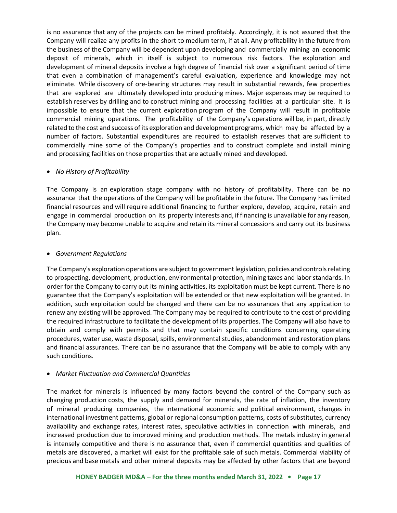is no assurance that any of the projects can be mined profitably. Accordingly, it is not assured that the Company will realize any profits in the short to medium term, if at all. Any profitability in the future from the business of the Company will be dependent upon developing and commercially mining an economic deposit of minerals, which in itself is subject to numerous risk factors. The exploration and development of mineral deposits involve a high degree of financial risk over a significant period of time that even a combination of management's careful evaluation, experience and knowledge may not eliminate. While discovery of ore-bearing structures may result in substantial rewards, few properties that are explored are ultimately developed into producing mines. Major expenses may be required to establish reserves by drilling and to construct mining and processing facilities at a particular site. It is impossible to ensure that the current exploration program of the Company will result in profitable commercial mining operations. The profitability of the Company's operations will be, in part, directly related to the cost and success ofits exploration and development programs, which may be affected by a number of factors. Substantial expenditures are required to establish reserves that are sufficient to commercially mine some of the Company's properties and to construct complete and install mining and processing facilities on those properties that are actually mined and developed.

# • *No History of Profitability*

The Company is an exploration stage company with no history of profitability. There can be no assurance that the operations of the Company will be profitable in the future. The Company has limited financial resources and will require additional financing to further explore, develop, acquire, retain and engage in commercial production on its property interests and, if financing is unavailable for any reason, the Company may become unable to acquire and retain its mineral concessions and carry out its business plan.

# • *Government Regulations*

The Company's exploration operations are subject to government legislation, policies and controls relating to prospecting, development, production, environmental protection, mining taxes and labor standards. In order for the Company to carry out its mining activities, its exploitation must be kept current. There is no guarantee that the Company's exploitation will be extended or that new exploitation will be granted. In addition, such exploitation could be changed and there can be no assurances that any application to renew any existing will be approved. The Company may be required to contribute to the cost of providing the required infrastructure to facilitate the development of its properties. The Company will also have to obtain and comply with permits and that may contain specific conditions concerning operating procedures, water use, waste disposal, spills, environmental studies, abandonment and restoration plans and financial assurances. There can be no assurance that the Company will be able to comply with any such conditions.

# • *Market Fluctuation and Commercial Quantities*

The market for minerals is influenced by many factors beyond the control of the Company such as changing production costs, the supply and demand for minerals, the rate of inflation, the inventory of mineral producing companies, the international economic and political environment, changes in international investment patterns, global or regional consumption patterns, costs of substitutes, currency availability and exchange rates, interest rates, speculative activities in connection with minerals, and increased production due to improved mining and production methods. The metals industry in general is intensely competitive and there is no assurance that, even if commercial quantities and qualities of metals are discovered, a market will exist for the profitable sale of such metals. Commercial viability of precious and base metals and other mineral deposits may be affected by other factors that are beyond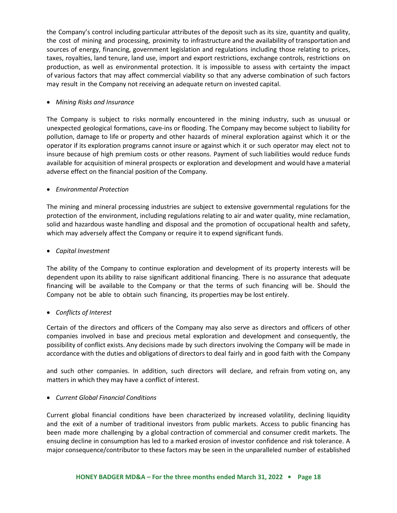the Company's control including particular attributes of the deposit such as its size, quantity and quality, the cost of mining and processing, proximity to infrastructure and the availability of transportation and sources of energy, financing, government legislation and regulations including those relating to prices, taxes, royalties, land tenure, land use, import and export restrictions, exchange controls, restrictions on production, as well as environmental protection. It is impossible to assess with certainty the impact of various factors that may affect commercial viability so that any adverse combination of such factors may result in the Company not receiving an adequate return on invested capital.

# • *Mining Risks and Insurance*

The Company is subject to risks normally encountered in the mining industry, such as unusual or unexpected geological formations, cave-ins or flooding. The Company may become subject to liability for pollution, damage to life or property and other hazards of mineral exploration against which it or the operator if its exploration programs cannot insure or against which it or such operator may elect not to insure because of high premium costs or other reasons. Payment of such liabilities would reduce funds available for acquisition of mineral prospects or exploration and development and would have a material adverse effect on the financial position of the Company.

# • *Environmental Protection*

The mining and mineral processing industries are subject to extensive governmental regulations for the protection of the environment, including regulations relating to air and water quality, mine reclamation, solid and hazardous waste handling and disposal and the promotion of occupational health and safety, which may adversely affect the Company or require it to expend significant funds.

• *Capital Investment*

The ability of the Company to continue exploration and development of its property interests will be dependent upon its ability to raise significant additional financing. There is no assurance that adequate financing will be available to the Company or that the terms of such financing will be. Should the Company not be able to obtain such financing, its properties may be lost entirely.

# • *Conflicts of Interest*

Certain of the directors and officers of the Company may also serve as directors and officers of other companies involved in base and precious metal exploration and development and consequently, the possibility of conflict exists. Any decisions made by such directors involving the Company will be made in accordance with the duties and obligations of directors to deal fairly and in good faith with the Company

and such other companies. In addition, such directors will declare, and refrain from voting on, any matters in which they may have a conflict of interest.

# • *Current Global Financial Conditions*

Current global financial conditions have been characterized by increased volatility, declining liquidity and the exit of a number of traditional investors from public markets. Access to public financing has been made more challenging by a global contraction of commercial and consumer credit markets. The ensuing decline in consumption has led to a marked erosion of investor confidence and risk tolerance. A major consequence/contributor to these factors may be seen in the unparalleled number of established